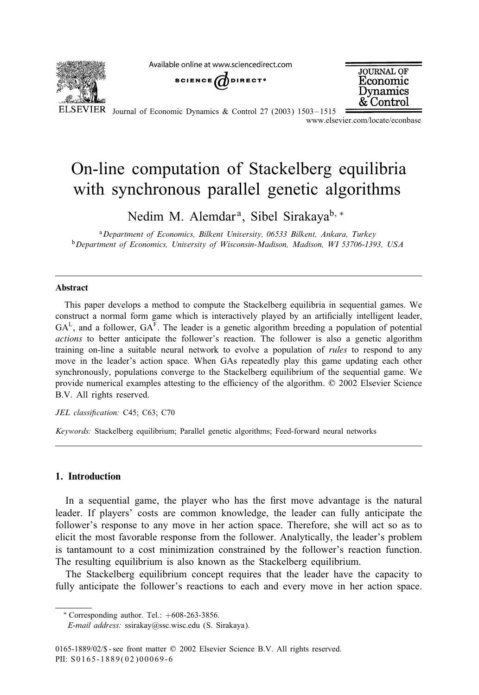Available online at www.sciencedirect.com



SCIENCE  $\bigcirc$  DIRECT<sup>®</sup>



ELSEVIER Journal of Economic Dynamics & Control 27 (2003) 1503-1515

www.elsevier.com/locate/econbase

## On-line computation of Stackelberg equilibria with synchronous parallel genetic algorithms

Nedim M. Alemdar<sup>a</sup>, Sibel Sirakaya<sup>b, ∗</sup>

<sup>a</sup>*Department of Economics, Bilkent University, 06533 Bilkent, Ankara, Turkey* <sup>b</sup>*Department of Economics, University of Wisconsin-Madison, Madison, WI 53706-1393, USA*

## Abstract

This paper develops a method to compute the Stackelberg equilibria in sequential games. We construct a normal form game which is interactively played by an artificially intelligent leader,  $GA<sup>L</sup>$ , and a follower,  $GA<sup>F</sup>$ . The leader is a genetic algorithm breeding a population of potential *actions* to better anticipate the follower's reaction. The follower is also a genetic algorithm training on-line a suitable neural network to evolve a population of *rules* to respond to any move in the leader's action space. When GAs repeatedly play this game updating each other synchronously, populations converge to the Stackelberg equilibrium of the sequential game. We provide numerical examples attesting to the efficiency of the algorithm.  $\oslash$  2002 Elsevier Science B.V. All rights reserved.

JEL classification: C45; C63; C70

*Keywords:* Stackelberg equilibrium; Parallel genetic algorithms; Feed-forward neural networks

## 1. Introduction

In a sequential game, the player who has the first move advantage is the natural leader. If players' costs are common knowledge, the leader can fully anticipate the follower's response to any move in her action space. Therefore, she will act so as to elicit the most favorable response from the follower. Analytically, the leader's problem is tantamount to a cost minimization constrained by the follower's reaction function. The resulting equilibrium is also known as the Stackelberg equilibrium.

The Stackelberg equilibrium concept requires that the leader have the capacity to fully anticipate the follower's reactions to each and every move in her action space.

*E-mail address:* ssirakay@ssc.wisc.edu (S. Sirakaya).

 $*$  Corresponding author. Tel.:  $+608-263-3856$ .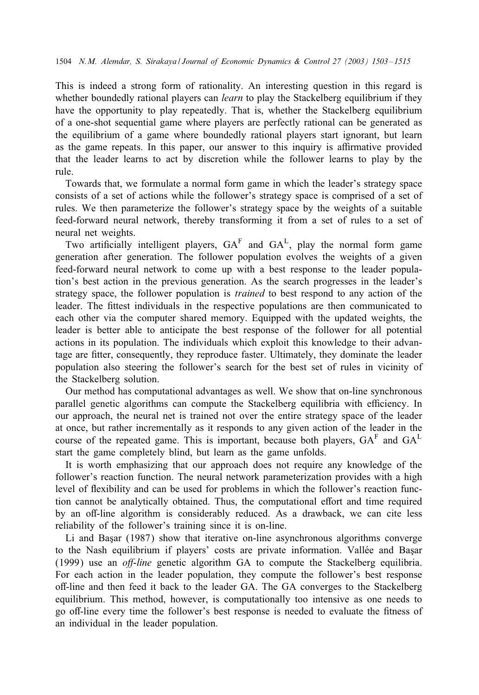This is indeed a strong form of rationality. An interesting question in this regard is whether boundedly rational players can *learn* to play the Stackelberg equilibrium if they have the opportunity to play repeatedly. That is, whether the Stackelberg equilibrium of a one-shot sequential game where players are perfectly rational can be generated as the equilibrium of a game where boundedly rational players start ignorant, but learn as the game repeats. In this paper, our answer to this inquiry is affirmative provided that the leader learns to act by discretion while the follower learns to play by the rule.

Towards that, we formulate a normal form game in which the leader's strategy space consists of a set of actions while the follower's strategy space is comprised of a set of rules. We then parameterize the follower's strategy space by the weights of a suitable feed-forward neural network, thereby transforming it from a set of rules to a set of neural net weights.

Two artificially intelligent players,  $GA<sup>F</sup>$  and  $GA<sup>L</sup>$ , play the normal form game generation after generation. The follower population evolves the weights of a given feed-forward neural network to come up with a best response to the leader population's best action in the previous generation. As the search progresses in the leader's strategy space, the follower population is *trained* to best respond to any action of the leader. The fittest individuals in the respective populations are then communicated to each other via the computer shared memory. Equipped with the updated weights, the leader is better able to anticipate the best response of the follower for all potential actions in its population. The individuals which exploit this knowledge to their advantage are fitter, consequently, they reproduce faster. Ultimately, they dominate the leader population also steering the follower's search for the best set of rules in vicinity of the Stackelberg solution.

Our method has computational advantages as well. We show that on-line synchronous parallel genetic algorithms can compute the Stackelberg equilibria with efficiency. In our approach, the neural net is trained not over the entire strategy space of the leader at once, but rather incrementally as it responds to any given action of the leader in the course of the repeated game. This is important, because both players,  $GA<sup>F</sup>$  and  $GA<sup>L</sup>$ start the game completely blind, but learn as the game unfolds.

It is worth emphasizing that our approach does not require any knowledge of the follower's reaction function. The neural network parameterization provides with a high level of flexibility and can be used for problems in which the follower's reaction function cannot be analytically obtained. Thus, the computational effort and time required by an off-line algorithm is considerably reduced. As a drawback, we can cite less reliability of the follower's training since it is on-line.

Li and Başar (1987) show that iterative on-line asynchronous algorithms converge to the Nash equilibrium if players' costs are private information. Vallée and Basar (1999) use an *o5-line* genetic algorithm GA to compute the Stackelberg equilibria. For each action in the leader population, they compute the follower's best response oH-line and then feed it back to the leader GA. The GA converges to the Stackelberg equilibrium. This method, however, is computationally too intensive as one needs to go oH-line every time the follower's best response is needed to evaluate the 1tness of an individual in the leader population.